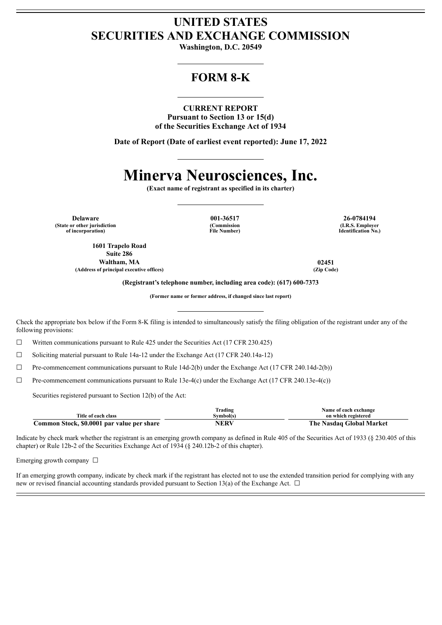# **UNITED STATES SECURITIES AND EXCHANGE COMMISSION**

**Washington, D.C. 20549**

## **FORM 8-K**

#### **CURRENT REPORT**

**Pursuant to Section 13 or 15(d) of the Securities Exchange Act of 1934**

**Date of Report (Date of earliest event reported): June 17, 2022**

# **Minerva Neurosciences, Inc.**

**(Exact name of registrant as specified in its charter)**

**Delaware 001-36517 26-0784194 (State or other jurisdiction of incorporation)**

**1601 Trapelo Road Suite 286 Waltham, MA 02451 (Address of principal executive offices) (Zip Code)**

**(Commission File Number)**

**(I.R.S. Employer Identification No.)**

**(Registrant's telephone number, including area code): (617) 600-7373**

**(Former name or former address, if changed since last report)**

Check the appropriate box below if the Form 8-K filing is intended to simultaneously satisfy the filing obligation of the registrant under any of the following provisions:

 $\Box$  Written communications pursuant to Rule 425 under the Securities Act (17 CFR 230.425)

☐ Soliciting material pursuant to Rule 14a-12 under the Exchange Act (17 CFR 240.14a-12)

 $\Box$  Pre-commencement communications pursuant to Rule 14d-2(b) under the Exchange Act (17 CFR 240.14d-2(b))

 $\Box$  Pre-commencement communications pursuant to Rule 13e-4(c) under the Exchange Act (17 CFR 240.13e-4(c))

Securities registered pursuant to Section 12(b) of the Act:

|                                            | `rading   | Name of each exchange    |
|--------------------------------------------|-----------|--------------------------|
| Fitle of each class                        | svmbol(s) | on which registered      |
| Common Stock, \$0.0001 par value per share | NERV      | The Nasdaq Global Market |

Indicate by check mark whether the registrant is an emerging growth company as defined in Rule 405 of the Securities Act of 1933 (§ 230.405 of this chapter) or Rule 12b-2 of the Securities Exchange Act of 1934 (§ 240.12b-2 of this chapter).

Emerging growth company  $\Box$ 

If an emerging growth company, indicate by check mark if the registrant has elected not to use the extended transition period for complying with any new or revised financial accounting standards provided pursuant to Section 13(a) of the Exchange Act.  $\Box$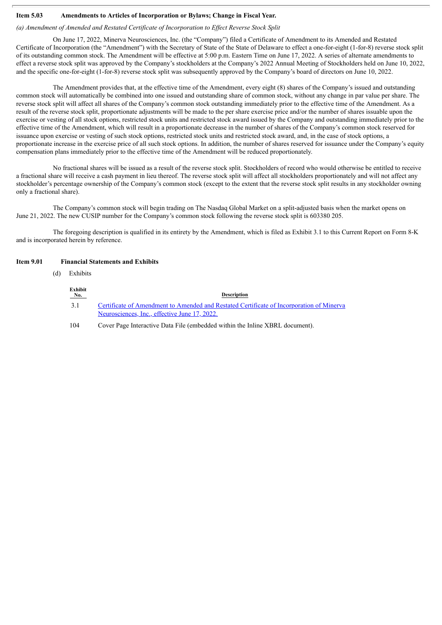#### **Item 5.03 Amendments to Articles of Incorporation or Bylaws; Change in Fiscal Year.**

#### *(a) Amendment of Amended and Restated Certificate of Incorporation to Ef ect Reverse Stock Split*

On June 17, 2022, Minerva Neurosciences, Inc. (the "Company") filed a Certificate of Amendment to its Amended and Restated Certificate of Incorporation (the "Amendment") with the Secretary of State of the State of Delaware to effect a one-for-eight (1-for-8) reverse stock split of its outstanding common stock. The Amendment will be effective at 5:00 p.m. Eastern Time on June 17, 2022. A series of alternate amendments to effect a reverse stock split was approved by the Company's stockholders at the Company's 2022 Annual Meeting of Stockholders held on June 10, 2022, and the specific one-for-eight (1-for-8) reverse stock split was subsequently approved by the Company's board of directors on June 10, 2022.

The Amendment provides that, at the effective time of the Amendment, every eight (8) shares of the Company's issued and outstanding common stock will automatically be combined into one issued and outstanding share of common stock, without any change in par value per share. The reverse stock split will affect all shares of the Company's common stock outstanding immediately prior to the effective time of the Amendment. As a result of the reverse stock split, proportionate adjustments will be made to the per share exercise price and/or the number of shares issuable upon the exercise or vesting of all stock options, restricted stock units and restricted stock award issued by the Company and outstanding immediately prior to the effective time of the Amendment, which will result in a proportionate decrease in the number of shares of the Company's common stock reserved for issuance upon exercise or vesting of such stock options, restricted stock units and restricted stock award, and, in the case of stock options, a proportionate increase in the exercise price of all such stock options. In addition, the number of shares reserved for issuance under the Company's equity compensation plans immediately prior to the effective time of the Amendment will be reduced proportionately.

No fractional shares will be issued as a result of the reverse stock split. Stockholders of record who would otherwise be entitled to receive a fractional share will receive a cash payment in lieu thereof. The reverse stock split will affect all stockholders proportionately and will not affect any stockholder's percentage ownership of the Company's common stock (except to the extent that the reverse stock split results in any stockholder owning only a fractional share).

The Company's common stock will begin trading on The Nasdaq Global Market on a split-adjusted basis when the market opens on June 21, 2022. The new CUSIP number for the Company's common stock following the reverse stock split is 603380 205.

The foregoing description is qualified in its entirety by the Amendment, which is filed as Exhibit 3.1 to this Current Report on Form 8-K and is incorporated herein by reference.

#### **Item 9.01 Financial Statements and Exhibits**

(d) Exhibits

| Exhibit<br>No. | <b>Description</b>                                                                                                                        |
|----------------|-------------------------------------------------------------------------------------------------------------------------------------------|
| 3.1            | Certificate of Amendment to Amended and Restated Certificate of Incorporation of Minerva<br>Neurosciences, Inc., effective June 17, 2022. |
| 104            | Cover Page Interactive Data File (embedded within the Inline XBRL document).                                                              |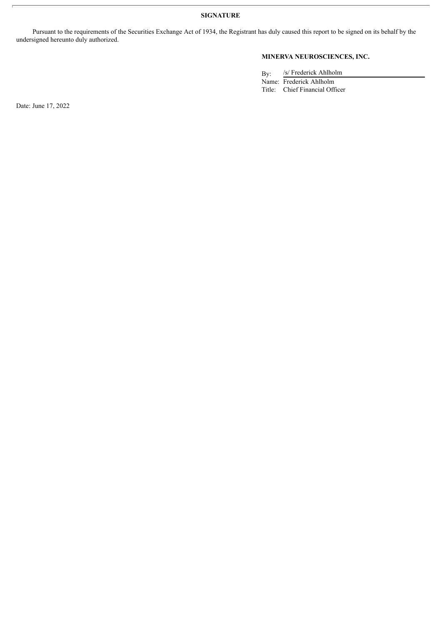**SIGNATURE**

Pursuant to the requirements of the Securities Exchange Act of 1934, the Registrant has duly caused this report to be signed on its behalf by the undersigned hereunto duly authorized.

## **MINERVA NEUROSCIENCES, INC.**

By: /s/ Frederick Ahlholm

Name: Frederick Ahlholm Title: Chief Financial Officer

Date: June 17, 2022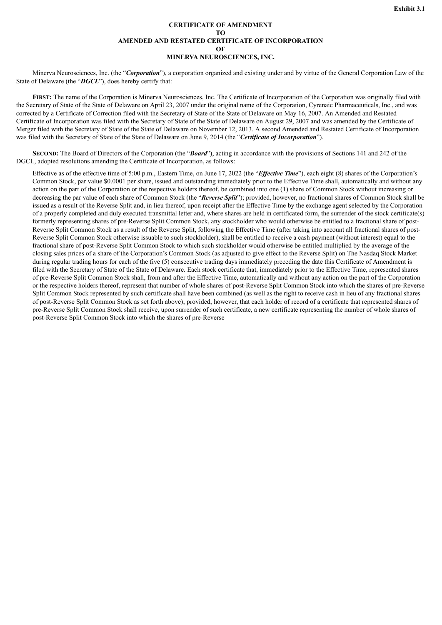#### **CERTIFICATE OF AMENDMENT TO AMENDED AND RESTATED CERTIFICATE OF INCORPORATION OF MINERVA NEUROSCIENCES, INC.**

<span id="page-3-0"></span>Minerva Neurosciences, Inc. (the "*Corporation*"), a corporation organized and existing under and by virtue of the General Corporation Law of the State of Delaware (the "*DGCL*"), does hereby certify that:

**FIRST:** The name of the Corporation is Minerva Neurosciences, Inc. The Certificate of Incorporation of the Corporation was originally filed with the Secretary of State of the State of Delaware on April 23, 2007 under the original name of the Corporation, Cyrenaic Pharmaceuticals, Inc., and was corrected by a Certificate of Correction filed with the Secretary of State of the State of Delaware on May 16, 2007. An Amended and Restated Certificate of Incorporation was filed with the Secretary of State of the State of Delaware on August 29, 2007 and was amended by the Certificate of Merger filed with the Secretary of State of the State of Delaware on November 12, 2013. A second Amended and Restated Certificate of Incorporation was filed with the Secretary of State of the State of Delaware on June 9, 2014 (the "*Certificate of Incorporation*").

**SECOND**: The Board of Directors of the Corporation (the "**Board**"), acting in accordance with the provisions of Sections 141 and 242 of the DGCL, adopted resolutions amending the Certificate of Incorporation, as follows:

Effective as of the effective time of 5:00 p.m., Eastern Time, on June 17, 2022 (the "*Effective Time*"), each eight (8) shares of the Corporation's Common Stock, par value \$0.0001 per share, issued and outstanding immediately prior to the Effective Time shall, automatically and without any action on the part of the Corporation or the respective holders thereof, be combined into one (1) share of Common Stock without increasing or decreasing the par value of each share of Common Stock (the "*Reverse Split*"); provided, however, no fractional shares of Common Stock shall be issued as a result of the Reverse Split and, in lieu thereof, upon receipt after the Effective Time by the exchange agent selected by the Corporation of a properly completed and duly executed transmittal letter and, where shares are held in certificated form, the surrender of the stock certificate(s) formerly representing shares of pre-Reverse Split Common Stock, any stockholder who would otherwise be entitled to a fractional share of post-Reverse Split Common Stock as a result of the Reverse Split, following the Effective Time (after taking into account all fractional shares of post-Reverse Split Common Stock otherwise issuable to such stockholder), shall be entitled to receive a cash payment (without interest) equal to the fractional share of post-Reverse Split Common Stock to which such stockholder would otherwise be entitled multiplied by the average of the closing sales prices of a share of the Corporation's Common Stock (as adjusted to give effect to the Reverse Split) on The Nasdaq Stock Market during regular trading hours for each of the five (5) consecutive trading days immediately preceding the date this Certificate of Amendment is filed with the Secretary of State of the State of Delaware. Each stock certificate that, immediately prior to the Effective Time, represented shares of pre-Reverse Split Common Stock shall, from and after the Effective Time, automatically and without any action on the part of the Corporation or the respective holders thereof, represent that number of whole shares of post-Reverse Split Common Stock into which the shares of pre-Reverse Split Common Stock represented by such certificate shall have been combined (as well as the right to receive cash in lieu of any fractional shares of post-Reverse Split Common Stock as set forth above); provided, however, that each holder of record of a certificate that represented shares of pre-Reverse Split Common Stock shall receive, upon surrender of such certificate, a new certificate representing the number of whole shares of post-Reverse Split Common Stock into which the shares of pre-Reverse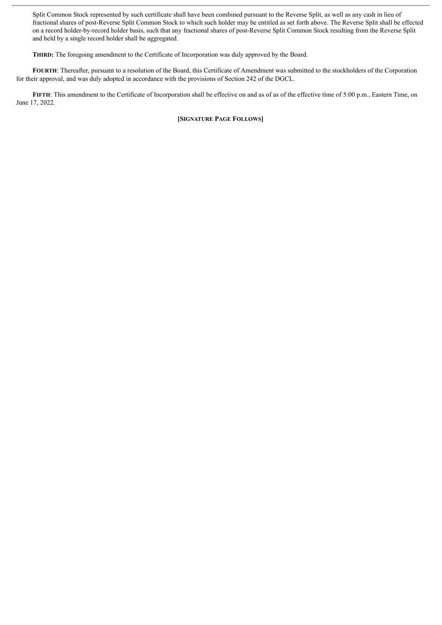Split Common Stock represented by such certificate shall have been combined pursuant to the Reverse Split, as well as any cash in lieu of fractional shares of post-Reverse Split Common Stock to which such holder may be entitled as set forth above. The Reverse Split shall be effected on a record holder-by-record holder basis, such that any fractional shares of post-Reverse Split Common Stock resulting from the Reverse Split and held by a single record holder shall be aggregated.

**THIRD:** The foregoing amendment to the Certificate of Incorporation was duly approved by the Board.

**FOURTH**: Thereafter, pursuant to a resolution of the Board, this Certificate of Amendment was submitted to the stockholders of the Corporation for their approval, and was duly adopted in accordance with the provisions of Section 242 of the DGCL.

**FIFTH**: This amendment to the Certificate of Incorporation shall be effective on and as of as of the effective time of 5:00 p.m., Eastern Time, on June 17, 2022.

**[SIGNATURE PAGE FOLLOWS]**